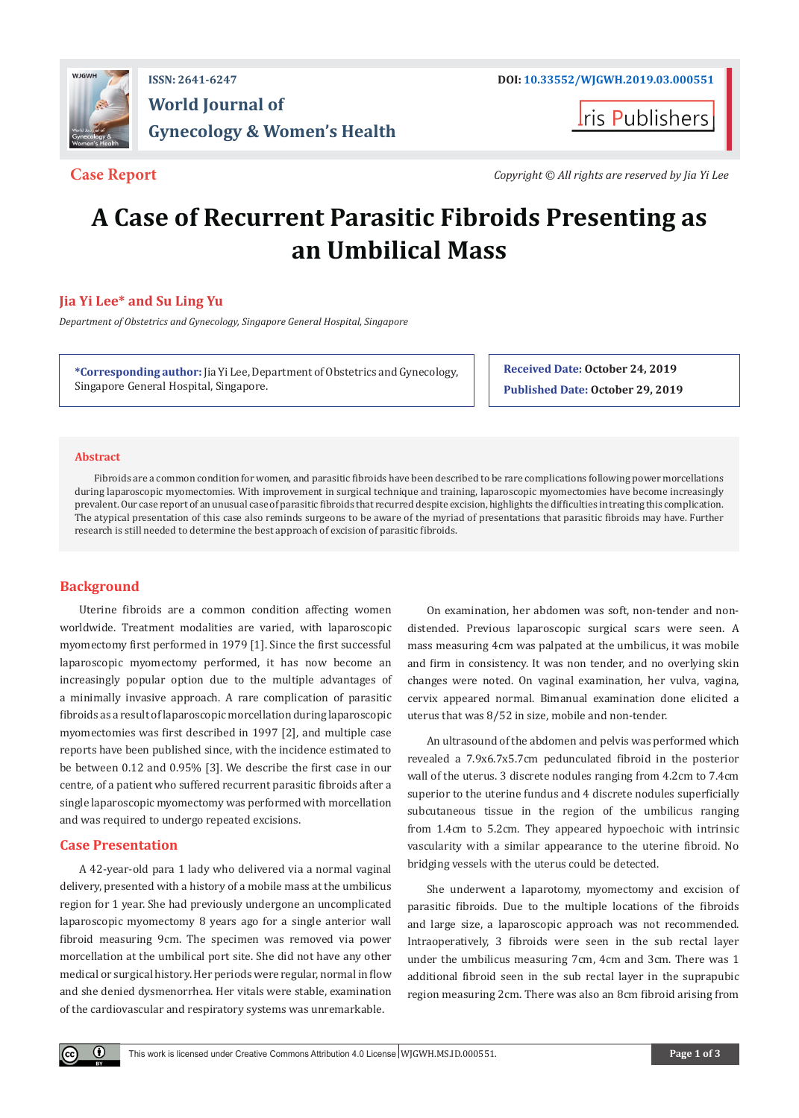

ris Publishers

**Case Report** *Copyright © All rights are reserved by Jia Yi Lee*

# **A Case of Recurrent Parasitic Fibroids Presenting as an Umbilical Mass**

# **Jia Yi Lee\* and Su Ling Yu**

*Department of Obstetrics and Gynecology, Singapore General Hospital, Singapore*

**\*Corresponding author:** Jia Yi Lee, Department of Obstetrics and Gynecology, Singapore General Hospital, Singapore.

**Received Date: October 24, 2019**

**Published Date: October 29, 2019**

# **Abstract**

Fibroids are a common condition for women, and parasitic fibroids have been described to be rare complications following power morcellations during laparoscopic myomectomies. With improvement in surgical technique and training, laparoscopic myomectomies have become increasingly prevalent. Our case report of an unusual case of parasitic fibroids that recurred despite excision, highlights the difficulties in treating this complication. The atypical presentation of this case also reminds surgeons to be aware of the myriad of presentations that parasitic fibroids may have. Further research is still needed to determine the best approach of excision of parasitic fibroids.

# **Background**

Uterine fibroids are a common condition affecting women worldwide. Treatment modalities are varied, with laparoscopic myomectomy first performed in 1979 [1]. Since the first successful laparoscopic myomectomy performed, it has now become an increasingly popular option due to the multiple advantages of a minimally invasive approach. A rare complication of parasitic fibroids as a result of laparoscopic morcellation during laparoscopic myomectomies was first described in 1997 [2], and multiple case reports have been published since, with the incidence estimated to be between 0.12 and 0.95% [3]. We describe the first case in our centre, of a patient who suffered recurrent parasitic fibroids after a single laparoscopic myomectomy was performed with morcellation and was required to undergo repeated excisions.

# **Case Presentation**

A 42-year-old para 1 lady who delivered via a normal vaginal delivery, presented with a history of a mobile mass at the umbilicus region for 1 year. She had previously undergone an uncomplicated laparoscopic myomectomy 8 years ago for a single anterior wall fibroid measuring 9cm. The specimen was removed via power morcellation at the umbilical port site. She did not have any other medical or surgical history. Her periods were regular, normal in flow and she denied dysmenorrhea. Her vitals were stable, examination of the cardiovascular and respiratory systems was unremarkable.

On examination, her abdomen was soft, non-tender and nondistended. Previous laparoscopic surgical scars were seen. A mass measuring 4cm was palpated at the umbilicus, it was mobile and firm in consistency. It was non tender, and no overlying skin changes were noted. On vaginal examination, her vulva, vagina, cervix appeared normal. Bimanual examination done elicited a uterus that was 8/52 in size, mobile and non-tender.

An ultrasound of the abdomen and pelvis was performed which revealed a 7.9x6.7x5.7cm pedunculated fibroid in the posterior wall of the uterus. 3 discrete nodules ranging from 4.2cm to 7.4cm superior to the uterine fundus and 4 discrete nodules superficially subcutaneous tissue in the region of the umbilicus ranging from 1.4cm to 5.2cm. They appeared hypoechoic with intrinsic vascularity with a similar appearance to the uterine fibroid. No bridging vessels with the uterus could be detected.

She underwent a laparotomy, myomectomy and excision of parasitic fibroids. Due to the multiple locations of the fibroids and large size, a laparoscopic approach was not recommended. Intraoperatively, 3 fibroids were seen in the sub rectal layer under the umbilicus measuring 7cm, 4cm and 3cm. There was 1 additional fibroid seen in the sub rectal layer in the suprapubic region measuring 2cm. There was also an 8cm fibroid arising from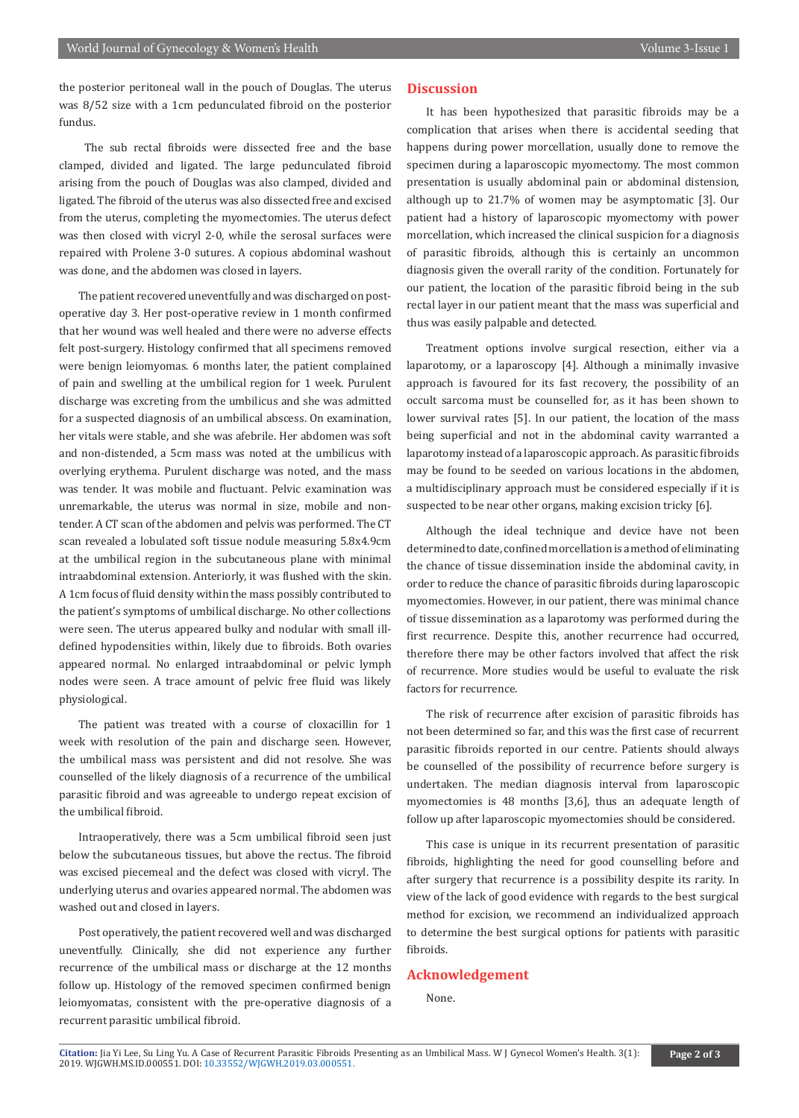the posterior peritoneal wall in the pouch of Douglas. The uterus was 8/52 size with a 1cm pedunculated fibroid on the posterior fundus.

 The sub rectal fibroids were dissected free and the base clamped, divided and ligated. The large pedunculated fibroid arising from the pouch of Douglas was also clamped, divided and ligated. The fibroid of the uterus was also dissected free and excised from the uterus, completing the myomectomies. The uterus defect was then closed with vicryl 2-0, while the serosal surfaces were repaired with Prolene 3-0 sutures. A copious abdominal washout was done, and the abdomen was closed in layers.

The patient recovered uneventfully and was discharged on postoperative day 3. Her post-operative review in 1 month confirmed that her wound was well healed and there were no adverse effects felt post-surgery. Histology confirmed that all specimens removed were benign leiomyomas. 6 months later, the patient complained of pain and swelling at the umbilical region for 1 week. Purulent discharge was excreting from the umbilicus and she was admitted for a suspected diagnosis of an umbilical abscess. On examination, her vitals were stable, and she was afebrile. Her abdomen was soft and non-distended, a 5cm mass was noted at the umbilicus with overlying erythema. Purulent discharge was noted, and the mass was tender. It was mobile and fluctuant. Pelvic examination was unremarkable, the uterus was normal in size, mobile and nontender. A CT scan of the abdomen and pelvis was performed. The CT scan revealed a lobulated soft tissue nodule measuring 5.8x4.9cm at the umbilical region in the subcutaneous plane with minimal intraabdominal extension. Anteriorly, it was flushed with the skin. A 1cm focus of fluid density within the mass possibly contributed to the patient's symptoms of umbilical discharge. No other collections were seen. The uterus appeared bulky and nodular with small illdefined hypodensities within, likely due to fibroids. Both ovaries appeared normal. No enlarged intraabdominal or pelvic lymph nodes were seen. A trace amount of pelvic free fluid was likely physiological.

The patient was treated with a course of cloxacillin for 1 week with resolution of the pain and discharge seen. However, the umbilical mass was persistent and did not resolve. She was counselled of the likely diagnosis of a recurrence of the umbilical parasitic fibroid and was agreeable to undergo repeat excision of the umbilical fibroid.

Intraoperatively, there was a 5cm umbilical fibroid seen just below the subcutaneous tissues, but above the rectus. The fibroid was excised piecemeal and the defect was closed with vicryl. The underlying uterus and ovaries appeared normal. The abdomen was washed out and closed in layers.

Post operatively, the patient recovered well and was discharged uneventfully. Clinically, she did not experience any further recurrence of the umbilical mass or discharge at the 12 months follow up. Histology of the removed specimen confirmed benign leiomyomatas, consistent with the pre-operative diagnosis of a recurrent parasitic umbilical fibroid.

## **Discussion**

It has been hypothesized that parasitic fibroids may be a complication that arises when there is accidental seeding that happens during power morcellation, usually done to remove the specimen during a laparoscopic myomectomy. The most common presentation is usually abdominal pain or abdominal distension, although up to 21.7% of women may be asymptomatic [3]. Our patient had a history of laparoscopic myomectomy with power morcellation, which increased the clinical suspicion for a diagnosis of parasitic fibroids, although this is certainly an uncommon diagnosis given the overall rarity of the condition. Fortunately for our patient, the location of the parasitic fibroid being in the sub rectal layer in our patient meant that the mass was superficial and thus was easily palpable and detected.

Treatment options involve surgical resection, either via a laparotomy, or a laparoscopy [4]. Although a minimally invasive approach is favoured for its fast recovery, the possibility of an occult sarcoma must be counselled for, as it has been shown to lower survival rates [5]. In our patient, the location of the mass being superficial and not in the abdominal cavity warranted a laparotomy instead of a laparoscopic approach. As parasitic fibroids may be found to be seeded on various locations in the abdomen, a multidisciplinary approach must be considered especially if it is suspected to be near other organs, making excision tricky [6].

Although the ideal technique and device have not been determined to date, confined morcellation is a method of eliminating the chance of tissue dissemination inside the abdominal cavity, in order to reduce the chance of parasitic fibroids during laparoscopic myomectomies. However, in our patient, there was minimal chance of tissue dissemination as a laparotomy was performed during the first recurrence. Despite this, another recurrence had occurred, therefore there may be other factors involved that affect the risk of recurrence. More studies would be useful to evaluate the risk factors for recurrence.

The risk of recurrence after excision of parasitic fibroids has not been determined so far, and this was the first case of recurrent parasitic fibroids reported in our centre. Patients should always be counselled of the possibility of recurrence before surgery is undertaken. The median diagnosis interval from laparoscopic myomectomies is 48 months [3,6], thus an adequate length of follow up after laparoscopic myomectomies should be considered.

This case is unique in its recurrent presentation of parasitic fibroids, highlighting the need for good counselling before and after surgery that recurrence is a possibility despite its rarity. In view of the lack of good evidence with regards to the best surgical method for excision, we recommend an individualized approach to determine the best surgical options for patients with parasitic fibroids.

### **Acknowledgement**

None.